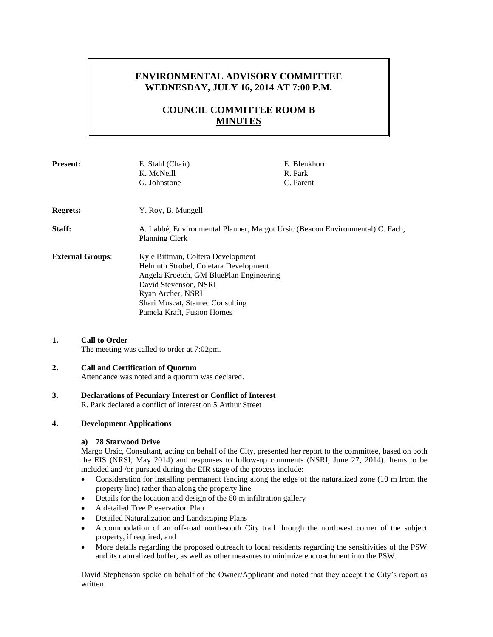# **ENVIRONMENTAL ADVISORY COMMITTEE WEDNESDAY, JULY 16, 2014 AT 7:00 P.M.**

# **COUNCIL COMMITTEE ROOM B MINUTES**

| <b>Present:</b>         | E. Stahl (Chair)<br>K. McNeill<br>G. Johnstone                                                                                                                                                                                        | E. Blenkhorn<br>R. Park<br>C. Parent |
|-------------------------|---------------------------------------------------------------------------------------------------------------------------------------------------------------------------------------------------------------------------------------|--------------------------------------|
| <b>Regrets:</b>         | Y. Roy, B. Mungell                                                                                                                                                                                                                    |                                      |
| Staff:                  | A. Labbé, Environmental Planner, Margot Ursic (Beacon Environmental) C. Fach,<br><b>Planning Clerk</b>                                                                                                                                |                                      |
| <b>External Groups:</b> | Kyle Bittman, Coltera Development<br>Helmuth Strobel, Coletara Development<br>Angela Kroetch, GM BluePlan Engineering<br>David Stevenson, NSRI<br>Ryan Archer, NSRI<br>Shari Muscat, Stantec Consulting<br>Pamela Kraft, Fusion Homes |                                      |

# **1. Call to Order**

The meeting was called to order at 7:02pm.

# **2. Call and Certification of Quorum**

Attendance was noted and a quorum was declared.

#### **3. Declarations of Pecuniary Interest or Conflict of Interest** R. Park declared a conflict of interest on 5 Arthur Street

## **4. Development Applications**

# **a) 78 Starwood Drive**

Margo Ursic, Consultant, acting on behalf of the City, presented her report to the committee, based on both the EIS (NRSI, May 2014) and responses to follow-up comments (NSRI, June 27, 2014). Items to be included and /or pursued during the EIR stage of the process include:

- Consideration for installing permanent fencing along the edge of the naturalized zone (10 m from the property line) rather than along the property line
- Details for the location and design of the 60 m infiltration gallery
- A detailed Tree Preservation Plan
- Detailed Naturalization and Landscaping Plans
- Accommodation of an off-road north-south City trail through the northwest corner of the subject property, if required, and
- More details regarding the proposed outreach to local residents regarding the sensitivities of the PSW and its naturalized buffer, as well as other measures to minimize encroachment into the PSW.

David Stephenson spoke on behalf of the Owner/Applicant and noted that they accept the City's report as written.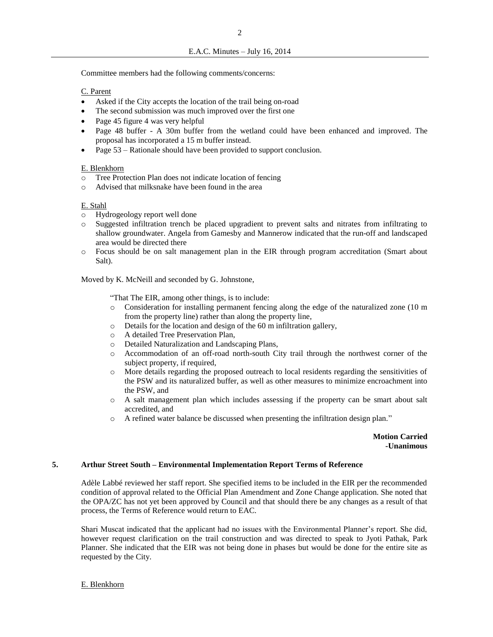Committee members had the following comments/concerns:

## C. Parent

- Asked if the City accepts the location of the trail being on-road
- The second submission was much improved over the first one
- Page 45 figure 4 was very helpful
- Page 48 buffer A 30m buffer from the wetland could have been enhanced and improved. The proposal has incorporated a 15 m buffer instead.
- Page 53 Rationale should have been provided to support conclusion.

#### E. Blenkhorn

- Tree Protection Plan does not indicate location of fencing
- o Advised that milksnake have been found in the area

#### E. Stahl

- o Hydrogeology report well done
- Suggested infiltration trench be placed upgradient to prevent salts and nitrates from infiltrating to shallow groundwater. Angela from Gamesby and Mannerow indicated that the run-off and landscaped area would be directed there
- o Focus should be on salt management plan in the EIR through program accreditation (Smart about Salt).

Moved by K. McNeill and seconded by G. Johnstone,

"That The EIR, among other things, is to include:

- o Consideration for installing permanent fencing along the edge of the naturalized zone (10 m from the property line) rather than along the property line,
- o Details for the location and design of the 60 m infiltration gallery,
- o A detailed Tree Preservation Plan,
- o Detailed Naturalization and Landscaping Plans,
- o Accommodation of an off-road north-south City trail through the northwest corner of the subject property, if required,
- o More details regarding the proposed outreach to local residents regarding the sensitivities of the PSW and its naturalized buffer, as well as other measures to minimize encroachment into the PSW, and
- o A salt management plan which includes assessing if the property can be smart about salt accredited, and
- o A refined water balance be discussed when presenting the infiltration design plan."

### **Motion Carried -Unanimous**

#### **5. Arthur Street South – Environmental Implementation Report Terms of Reference**

Adèle Labbé reviewed her staff report. She specified items to be included in the EIR per the recommended condition of approval related to the Official Plan Amendment and Zone Change application. She noted that the OPA/ZC has not yet been approved by Council and that should there be any changes as a result of that process, the Terms of Reference would return to EAC.

Shari Muscat indicated that the applicant had no issues with the Environmental Planner's report. She did, however request clarification on the trail construction and was directed to speak to Jyoti Pathak, Park Planner. She indicated that the EIR was not being done in phases but would be done for the entire site as requested by the City.

E. Blenkhorn